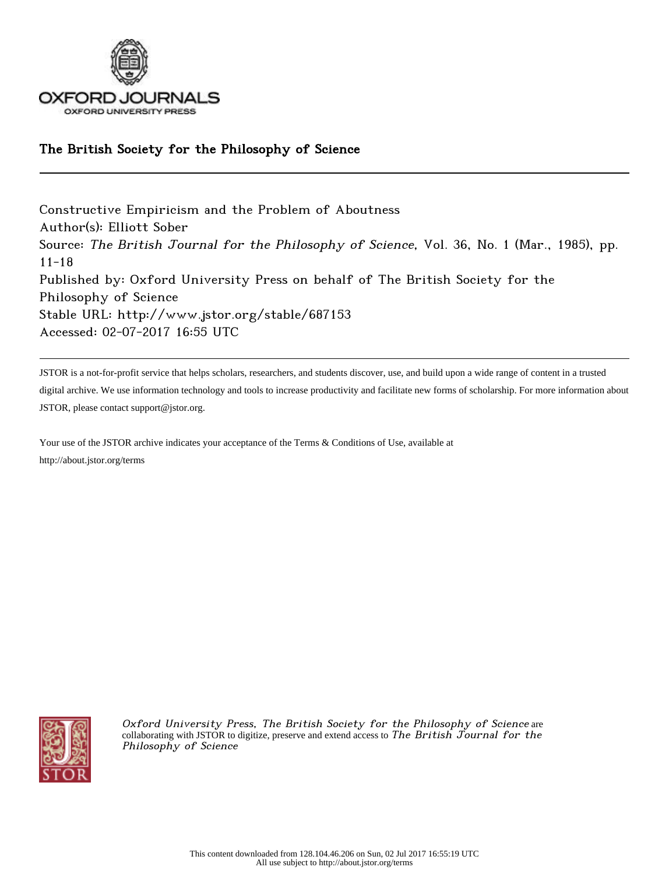

# The British Society for the Philosophy of Science

Constructive Empiricism and the Problem of Aboutness Author(s): Elliott Sober Source: The British Journal for the Philosophy of Science, Vol. 36, No. 1 (Mar., 1985), pp. 11-18 Published by: Oxford University Press on behalf of The British Society for the Philosophy of Science Stable URL: http://www.jstor.org/stable/687153 Accessed: 02-07-2017 16:55 UTC

JSTOR is a not-for-profit service that helps scholars, researchers, and students discover, use, and build upon a wide range of content in a trusted digital archive. We use information technology and tools to increase productivity and facilitate new forms of scholarship. For more information about JSTOR, please contact support@jstor.org.

Your use of the JSTOR archive indicates your acceptance of the Terms & Conditions of Use, available at http://about.jstor.org/terms



Oxford University Press, The British Society for the Philosophy of Science are collaborating with JSTOR to digitize, preserve and extend access to The British Journal for the Philosophy of Science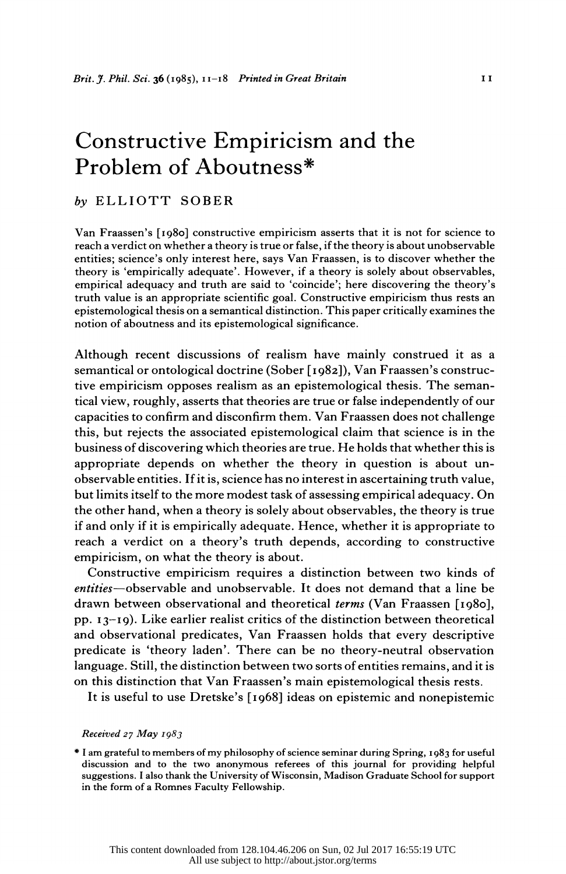# Constructive Empiricism and the Problem of Aboutness\*

# by ELLIOTT SOBER

 Van Fraassen's [I98o] constructive empiricism asserts that it is not for science to reach a verdict on whether a theory is true or false, if the theory is about unobservable entities; science's only interest here, says Van Fraassen, is to discover whether the theory is 'empirically adequate'. However, if a theory is solely about observables, empirical adequacy and truth are said to 'coincide'; here discovering the theory's truth value is an appropriate scientific goal. Constructive empiricism thus rests an epistemological thesis on a semantical distinction. This paper critically examines the notion of aboutness and its epistemological significance.

 Although recent discussions of realism have mainly construed it as a semantical or ontological doctrine (Sober [1982]), Van Fraassen's construc tive empiricism opposes realism as an epistemological thesis. The seman tical view, roughly, asserts that theories are true or false independently of our capacities to confirm and disconfirm them. Van Fraassen does not challenge this, but rejects the associated epistemological claim that science is in the business of discovering which theories are true. He holds that whether this is appropriate depends on whether the theory in question is about un observable entities. If it is, science has no interest in ascertaining truth value, but limits itself to the more modest task of assessing empirical adequacy. On the other hand, when a theory is solely about observables, the theory is true if and only if it is empirically adequate. Hence, whether it is appropriate to reach a verdict on a theory's truth depends, according to constructive empiricism, on what the theory is about.

 Constructive empiricism requires a distinction between two kinds of entities-observable and unobservable. It does not demand that a line be drawn between observational and theoretical terms (Van Fraassen [1980], pp. 13-19). Like earlier realist critics of the distinction between theoretical and observational predicates, Van Fraassen holds that every descriptive predicate is 'theory laden'. There can be no theory-neutral observation language. Still, the distinction between two sorts of entities remains, and it is on this distinction that Van Fraassen's main epistemological thesis rests.

It is useful to use Dretske's [1968] ideas on epistemic and nonepistemic

#### Received 27 May 1983

 <sup>\*</sup> I am grateful to members of my philosophy of science seminar during Spring, 1983 for useful discussion and to the two anonymous referees of this journal for providing helpful suggestions. I also thank the University of Wisconsin, Madison Graduate School for support in the form of a Romnes Faculty Fellowship.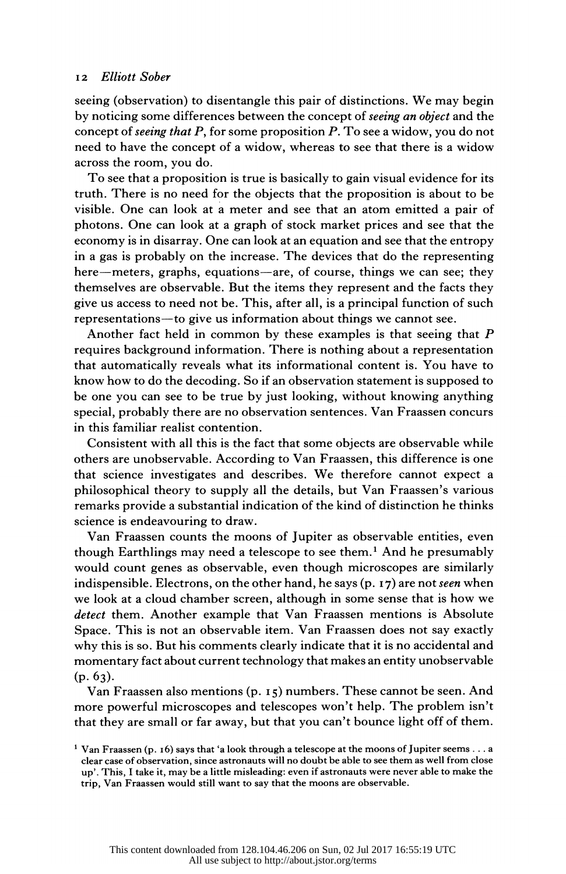#### 12 Elliott Sober

 seeing (observation) to disentangle this pair of distinctions. We may begin by noticing some differences between the concept of seeing an object and the concept of *seeing that P*, for some proposition  $P$ . To see a widow, you do not need to have the concept of a widow, whereas to see that there is a widow across the room, you do.

 To see that a proposition is true is basically to gain visual evidence for its truth. There is no need for the objects that the proposition is about to be visible. One can look at a meter and see that an atom emitted a pair of photons. One can look at a graph of stock market prices and see that the economy is in disarray. One can look at an equation and see that the entropy in a gas is probably on the increase. The devices that do the representing here—meters, graphs, equations—are, of course, things we can see; they themselves are observable. But the items they represent and the facts they give us access to need not be. This, after all, is a principal function of such representations—to give us information about things we cannot see.

Another fact held in common by these examples is that seeing that  $P$  requires background information. There is nothing about a representation that automatically reveals what its informational content is. You have to know how to do the decoding. So if an observation statement is supposed to be one you can see to be true by just looking, without knowing anything special, probably there are no observation sentences. Van Fraassen concurs in this familiar realist contention.

 Consistent with all this is the fact that some objects are observable while others are unobservable. According to Van Fraassen, this difference is one that science investigates and describes. We therefore cannot expect a philosophical theory to supply all the details, but Van Fraassen's various remarks provide a substantial indication of the kind of distinction he thinks science is endeavouring to draw.

 Van Fraassen counts the moons of Jupiter as observable entities, even though Earthlings may need a telescope to see them.' And he presumably would count genes as observable, even though microscopes are similarly indispensible. Electrons, on the other hand, he says (p. 17) are not seen when we look at a cloud chamber screen, although in some sense that is how we detect them. Another example that Van Fraassen mentions is Absolute Space. This is not an observable item. Van Fraassen does not say exactly why this is so. But his comments clearly indicate that it is no accidental and momentary fact about current technology that makes an entity unobservable  $(p. 63)$ .

 Van Fraassen also mentions (p. 15) numbers. These cannot be seen. And more powerful microscopes and telescopes won't help. The problem isn't that they are small or far away, but that you can't bounce light off of them.

<sup>&</sup>lt;sup>1</sup> Van Fraassen (p. 16) says that 'a look through a telescope at the moons of Jupiter seems ... a clear case of observation, since astronauts will no doubt be able to see them as well from close up'. This, I take it, may be a little misleading: even if astronauts were never able to make the trip, Van Fraassen would still want to say that the moons are observable.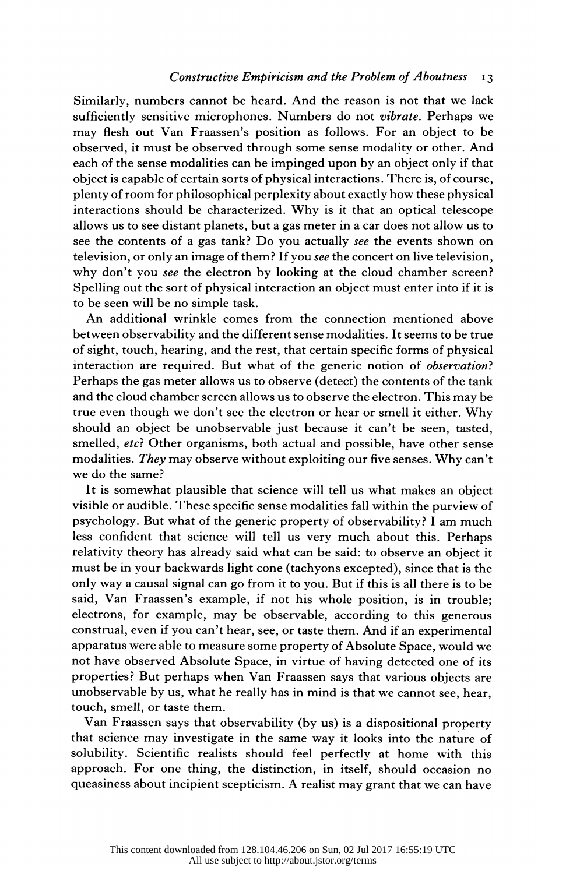## Constructive Empiricism and the Problem of Aboutness 13

 Similarly, numbers cannot be heard. And the reason is not that we lack sufficiently sensitive microphones. Numbers do not *vibrate*. Perhaps we may flesh out Van Fraassen's position as follows. For an object to be observed, it must be observed through some sense modality or other. And each of the sense modalities can be impinged upon by an object only if that object is capable of certain sorts of physical interactions. There is, of course, plenty of room for philosophical perplexity about exactly how these physical interactions should be characterized. Why is it that an optical telescope allows us to see distant planets, but a gas meter in a car does not allow us to see the contents of a gas tank? Do you actually see the events shown on television, or only an image of them? If you see the concert on live television, why don't you see the electron by looking at the cloud chamber screen? Spelling out the sort of physical interaction an object must enter into if it is to be seen will be no simple task.

 An additional wrinkle comes from the connection mentioned above between observability and the different sense modalities. It seems to be true of sight, touch, hearing, and the rest, that certain specific forms of physical interaction are required. But what of the generic notion of observation? Perhaps the gas meter allows us to observe (detect) the contents of the tank and the cloud chamber screen allows us to observe the electron. This may be true even though we don't see the electron or hear or smell it either. Why should an object be unobservable just because it can't be seen, tasted, smelled, etc? Other organisms, both actual and possible, have other sense modalities. They may observe without exploiting our five senses. Why can't we do the same?

 It is somewhat plausible that science will tell us what makes an object visible or audible. These specific sense modalities fall within the purview of psychology. But what of the generic property of observability? I am much less confident that science will tell us very much about this. Perhaps relativity theory has already said what can be said: to observe an object it must be in your backwards light cone (tachyons excepted), since that is the only way a causal signal can go from it to you. But if this is all there is to be said, Van Fraassen's example, if not his whole position, is in trouble; electrons, for example, may be observable, according to this generous construal, even if you can't hear, see, or taste them. And if an experimental apparatus were able to measure some property of Absolute Space, would we not have observed Absolute Space, in virtue of having detected one of its properties? But perhaps when Van Fraassen says that various objects are unobservable by us, what he really has in mind is that we cannot see, hear, touch, smell, or taste them.

 Van Fraassen says that observability (by us) is a dispositional property that science may investigate in the same way it looks into the nature of solubility. Scientific realists should feel perfectly at home with this approach. For one thing, the distinction, in itself, should occasion no queasiness about incipient scepticism. A realist may grant that we can have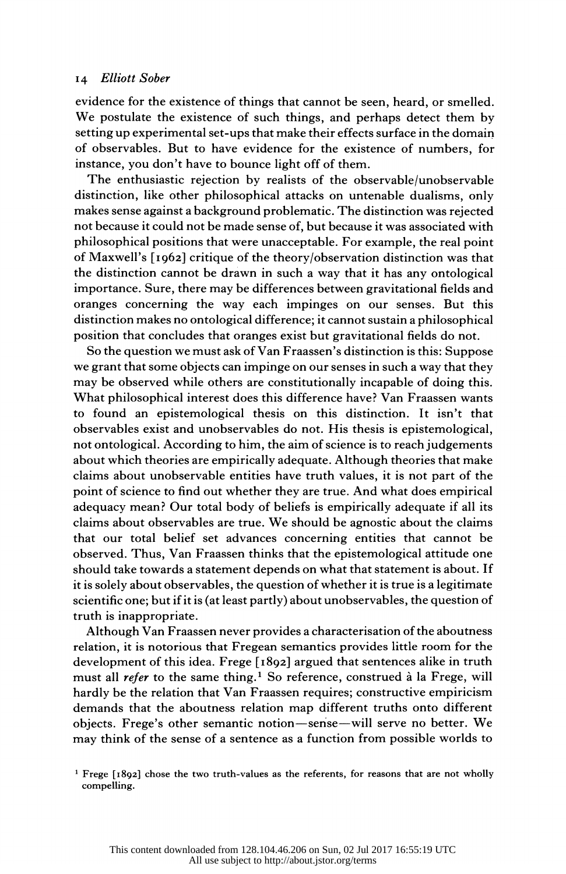#### 14 Elliott Sober

 evidence for the existence of things that cannot be seen, heard, or smelled. We postulate the existence of such things, and perhaps detect them by setting up experimental set-ups that make their effects surface in the domain of observables. But to have evidence for the existence of numbers, for instance, you don't have to bounce light off of them.

 The enthusiastic rejection by realists of the observable/unobservable distinction, like other philosophical attacks on untenable dualisms, only makes sense against a background problematic. The distinction was rejected not because it could not be made sense of, but because it was associated with philosophical positions that were unacceptable. For example, the real point of Maxwell's [1962] critique of the theory/observation distinction was that the distinction cannot be drawn in such a way that it has any ontological importance. Sure, there may be differences between gravitational fields and oranges concerning the way each impinges on our senses. But this distinction makes no ontological difference; it cannot sustain a philosophical position that concludes that oranges exist but gravitational fields do not.

 So the question we must ask of Van Fraassen's distinction is this: Suppose we grant that some objects can impinge on our senses in such a way that they may be observed while others are constitutionally incapable of doing this. What philosophical interest does this difference have? Van Fraassen wants to found an epistemological thesis on this distinction. It isn't that observables exist and unobservables do not. His thesis is epistemological, not ontological. According to him, the aim of science is to reach judgements about which theories are empirically adequate. Although theories that make claims about unobservable entities have truth values, it is not part of the point of science to find out whether they are true. And what does empirical adequacy mean? Our total body of beliefs is empirically adequate if all its claims about observables are true. We should be agnostic about the claims that our total belief set advances concerning entities that cannot be observed. Thus, Van Fraassen thinks that the epistemological attitude one should take towards a statement depends on what that statement is about. If it is solely about observables, the question of whether it is true is a legitimate scientific one; but if it is (at least partly) about unobservables, the question of truth is inappropriate.

 Although Van Fraassen never provides a characterisation of the aboutness relation, it is notorious that Fregean semantics provides little room for the development of this idea. Frege [1892] argued that sentences alike in truth must all refer to the same thing.<sup>1</sup> So reference, construed à la Frege, will hardly be the relation that Van Fraassen requires; constructive empiricism demands that the aboutness relation map different truths onto different objects. Frege's other semantic notion--sense--will serve no better. We may think of the sense of a sentence as a function from possible worlds to

<sup>&</sup>lt;sup>1</sup> Frege [1892] chose the two truth-values as the referents, for reasons that are not wholly compelling.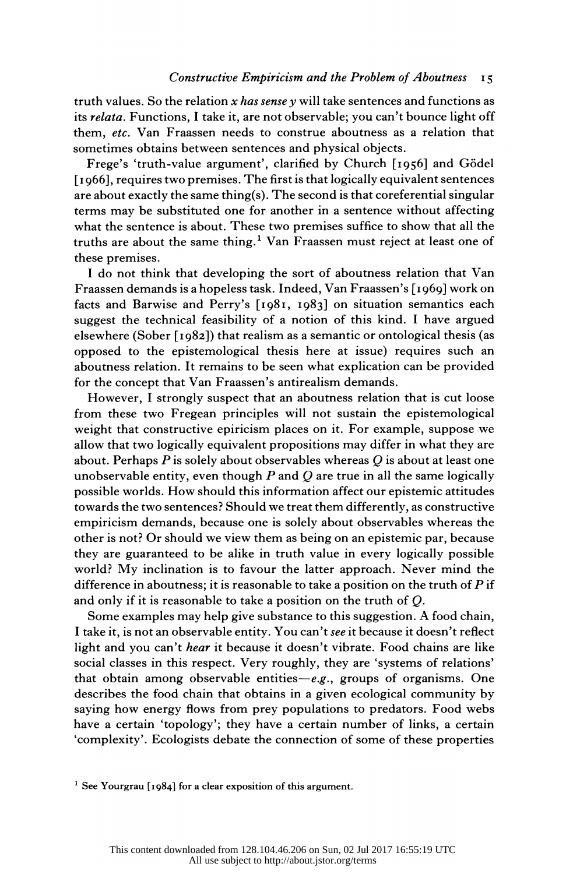truth values. So the relation x has sense y will take sentences and functions as its relata. Functions, I take it, are not observable; you can't bounce light off them, etc. Van Fraassen needs to construe aboutness as a relation that sometimes obtains between sentences and physical objects.

Frege's 'truth-value argument', clarified by Church [1956] and Gödel [1966], requires two premises. The first is that logically equivalent sentences are about exactly the same thing(s). The second is that coreferential singular terms may be substituted one for another in a sentence without affecting what the sentence is about. These two premises suffice to show that all the truths are about the same thing.<sup>1</sup> Van Fraassen must reject at least one of these premises.

 I do not think that developing the sort of aboutness relation that Van Fraassen demands is a hopeless task. Indeed, Van Fraassen's [1969] work on facts and Barwise and Perry's [1981, 1983] on situation semantics each suggest the technical feasibility of a notion of this kind. I have argued elsewhere (Sober [1982]) that realism as a semantic or ontological thesis (as opposed to the epistemological thesis here at issue) requires such an aboutness relation. It remains to be seen what explication can be provided for the concept that Van Fraassen's antirealism demands.

 However, I strongly suspect that an aboutness relation that is cut loose from these two Fregean principles will not sustain the epistemological weight that constructive epiricism places on it. For example, suppose we allow that two logically equivalent propositions may differ in what they are about. Perhaps P is solely about observables whereas  $Q$  is about at least one unobservable entity, even though  $P$  and  $Q$  are true in all the same logically possible worlds. How should this information affect our epistemic attitudes towards the two sentences? Should we treat them differently, as constructive empiricism demands, because one is solely about observables whereas the other is not? Or should we view them as being on an epistemic par, because they are guaranteed to be alike in truth value in every logically possible world? My inclination is to favour the latter approach. Never mind the difference in aboutness; it is reasonable to take a position on the truth of  $P$  if and only if it is reasonable to take a position on the truth of Q.

 Some examples may help give substance to this suggestion. A food chain, I take it, is not an observable entity. You can't see it because it doesn't reflect light and you can't hear it because it doesn't vibrate. Food chains are like social classes in this respect. Very roughly, they are 'systems of relations' that obtain among observable entities-e.g., groups of organisms. One describes the food chain that obtains in a given ecological community by saying how energy flows from prey populations to predators. Food webs have a certain 'topology'; they have a certain number of links, a certain 'complexity'. Ecologists debate the connection of some of these properties

<sup>1</sup> See Yourgrau [1984] for a clear exposition of this argument.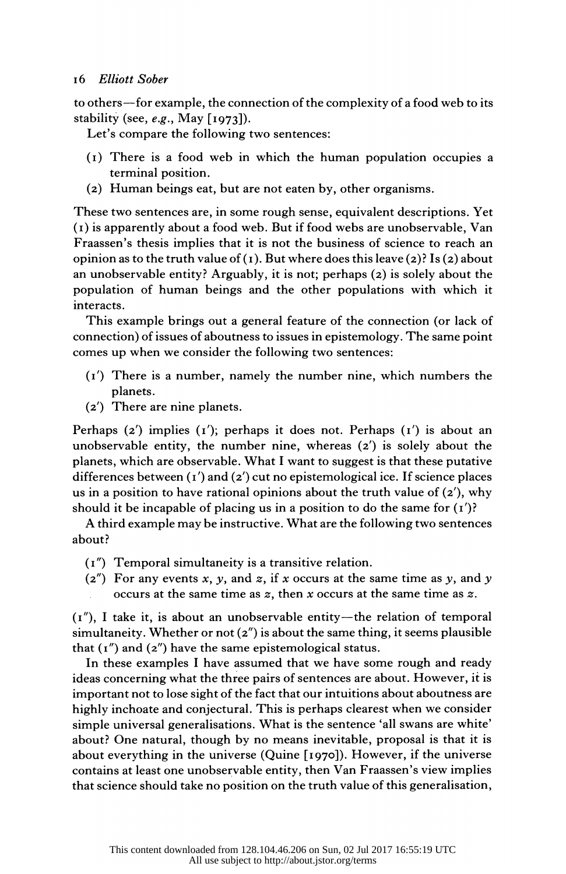### 16 Elliott Sober

to others-for example, the connection of the complexity of a food web to its stability (see,  $e.g., May [1973]).$ 

Let's compare the following two sentences:

- (i) There is a food web in which the human population occupies a terminal position.
- (2) Human beings eat, but are not eaten by, other organisms.

 These two sentences are, in some rough sense, equivalent descriptions. Yet (i) is apparently about a food web. But if food webs are unobservable, Van Fraassen's thesis implies that it is not the business of science to reach an opinion as to the truth value of (1). But where does this leave (2)? Is (2) about an unobservable entity? Arguably, it is not; perhaps (2) is solely about the population of human beings and the other populations with which it interacts.

 This example brings out a general feature of the connection (or lack of connection) of issues of aboutness to issues in epistemology. The same point comes up when we consider the following two sentences:

- (i') There is a number, namely the number nine, which numbers the planets.
- (2') There are nine planets.

Perhaps  $(z')$  implies  $(i')$ ; perhaps it does not. Perhaps  $(i')$  is about an unobservable entity, the number nine, whereas (2') is solely about the planets, which are observable. What I want to suggest is that these putative differences between  $(i')$  and  $(2')$  cut no epistemological ice. If science places us in a position to have rational opinions about the truth value of  $(z')$ , why should it be incapable of placing us in a position to do the same for  $(1')$ ?

 A third example may be instructive. What are the following two sentences about?

- (i") Temporal simultaneity is a transitive relation.
- ( $2''$ ) For any events x, y, and z, if x occurs at the same time as y, and y occurs at the same time as  $z$ , then  $x$  occurs at the same time as  $z$ .

 $(i'')$ , I take it, is about an unobservable entity—the relation of temporal simultaneity. Whether or not  $(z'')$  is about the same thing, it seems plausible that  $(i'')$  and  $(z'')$  have the same epistemological status.

 In these examples I have assumed that we have some rough and ready ideas concerning what the three pairs of sentences are about. However, it is important not to lose sight of the fact that our intuitions about aboutness are highly inchoate and conjectural. This is perhaps clearest when we consider simple universal generalisations. What is the sentence 'all swans are white' about? One natural, though by no means inevitable, proposal is that it is about everything in the universe (Quine [i970]). However, if the universe contains at least one unobservable entity, then Van Fraassen's view implies that science should take no position on the truth value of this generalisation,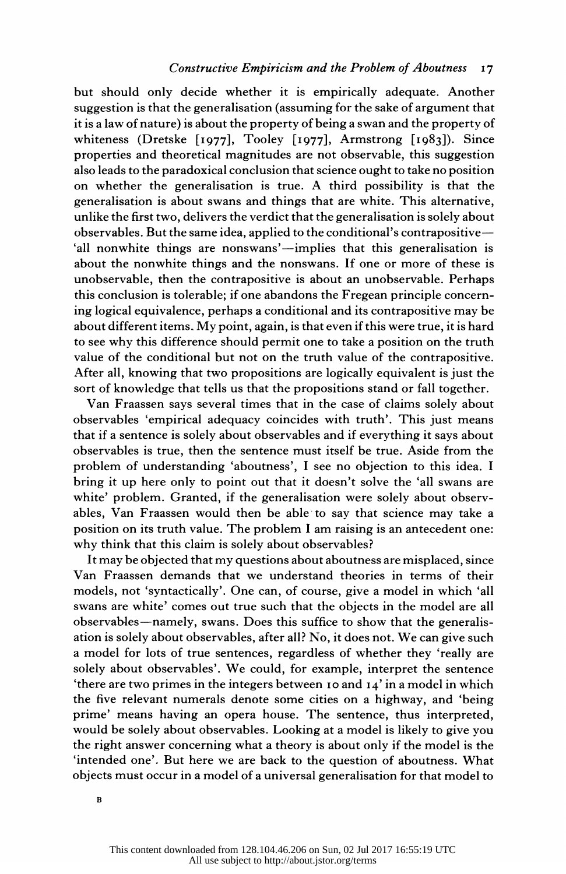but should only decide whether it is empirically adequate. Another suggestion is that the generalisation (assuming for the sake of argument that it is a law of nature) is about the property of being a swan and the property of whiteness (Dretske [1977], Tooley [1977], Armstrong [1983]). Since properties and theoretical magnitudes are not observable, this suggestion also leads to the paradoxical conclusion that science ought to take no position on whether the generalisation is true. A third possibility is that the generalisation is about swans and things that are white. This alternative, unlike the first two, delivers the verdict that the generalisation is solely about observables. But the same idea, applied to the conditional's contrapositive- 'all nonwhite things are nonswans'-implies that this generalisation is about the nonwhite things and the nonswans. If one or more of these is unobservable, then the contrapositive is about an unobservable. Perhaps this conclusion is tolerable; if one abandons the Fregean principle concern ing logical equivalence, perhaps a conditional and its contrapositive may be about different items. My point, again, is that even if this were true, it is hard to see why this difference should permit one to take a position on the truth value of the conditional but not on the truth value of the contrapositive. After all, knowing that two propositions are logically equivalent is just the sort of knowledge that tells us that the propositions stand or fall together.

 Van Fraassen says several times that in the case of claims solely about observables 'empirical adequacy coincides with truth'. This just means that if a sentence is solely about observables and if everything it says about observables is true, then the sentence must itself be true. Aside from the problem of understanding 'aboutness', I see no objection to this idea. I bring it up here only to point out that it doesn't solve the 'all swans are white' problem. Granted, if the generalisation were solely about observ ables, Van Fraassen would then be able to say that science may take a position on its truth value. The problem I am raising is an antecedent one: why think that this claim is solely about observables?

 It may be objected that my questions about aboutness are misplaced, since Van Fraassen demands that we understand theories in terms of their models, not 'syntactically'. One can, of course, give a model in which 'all swans are white' comes out true such that the objects in the model are all observables--namely, swans. Does this suffice to show that the generalis ation is solely about observables, after all? No, it does not. We can give such a model for lots of true sentences, regardless of whether they 'really are solely about observables'. We could, for example, interpret the sentence 'there are two primes in the integers between io and 14' in a model in which the five relevant numerals denote some cities on a highway, and 'being prime' means having an opera house. The sentence, thus interpreted, would be solely about observables. Looking at a model is likely to give you the right answer concerning what a theory is about only if the model is the 'intended one'. But here we are back to the question of aboutness. What objects must occur in a model of a universal generalisation for that model to

B